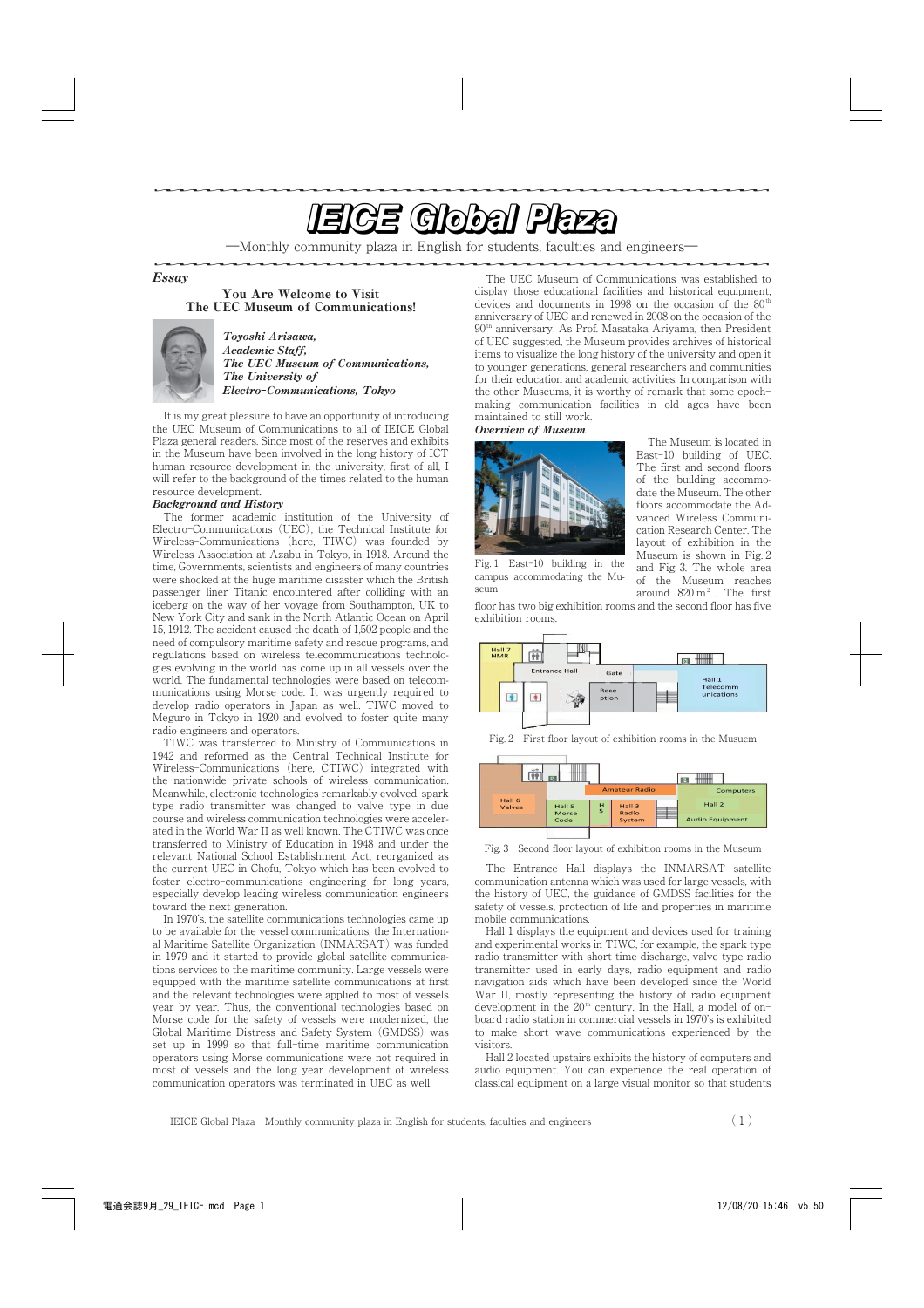# <u>e de la componentación de la componentación de la componentación de la componentación de la componentación de la componentación de la componentación de la componentación de la componentación de la componentación de la com</u>

―Monthly community plaza in English for students, faculties and engineers―

Essay

You Are Welcome to Visit The UEC Museum of Communications!



Toyoshi Arisawa, Academic Staff, The UEC Museum of Communications, The University of Electro**-**Communications, Tokyo

It is my great pleasure to have an opportunity of introducing the UEC Museum of Communications to all of IEICE Global Plaza general readers. Since most of the reserves and exhibits in the Museum have been involved in the long history of ICT human resource development in the university, first of all, I will refer to the background of the times related to the human resource development.

## Background and History

The former academic institution of the University of Electro-Communications (UEC), the Technical Institute for Wireless-Communications (here, TIWC) was founded by Wireless Association at Azabu in Tokyo, in 1918. Around the time, Governments, scientists and engineers of many countries were shocked at the huge maritime disaster which the British passenger liner Titanic encountered after colliding with an iceberg on the way of her voyage from Southampton, UK to New York City and sank in the North Atlantic Ocean on April 15, 1912. The accident caused the death of 1,502 people and the need of compulsory maritime safety and rescue programs, and regulations based on wireless telecommunications technologies evolving in the world has come up in all vessels over the world. The fundamental technologies were based on telecommunications using Morse code. It was urgently required to develop radio operators in Japan as well. TIWC moved to Meguro in Tokyo in 1920 and evolved to foster quite many radio engineers and operators.

TIWCwas transferred to Ministry of Communications in 1942 and reformed as the Central Technical Institute for Wireless-Communications (here, CTIWC) integrated with the nationwide private schools of wireless communication. Meanwhile, electronic technologies remarkably evolved, spark type radio transmitter was changed to valve type in due course and wireless communication technologies were accelerated in the World War II as well known. The CTIWC was once transferred to Ministry of Education in 1948 and under the relevant National School Establishment Act, reorganized as the current UEC in Chofu, Tokyo which has been evolved to foster electro-communications engineering for long years, especially develop leading wireless communication engineers toward the next generation.

In 1970's, the satellite communications technologies came up to be available for the vessel communications, the International Maritime Satellite Organization (INMARSAT) was funded in 1979 and it started to provide global satellite communications services to the maritime community. Large vessels were equipped with the maritime satellite communications at first and the relevant technologies were applied to most of vessels year by year. Thus, the conventional technologies based on Morse code for the safety of vessels were modernized, the Global Maritime Distress and Safety System (GMDSS) was set up in 1999 so that full-time maritime communication operators using Morse communications were not required in most of vessels and the long year development of wireless communication operators was terminated in UEC as well.

The UEC Museum of Communications was established to display those educational facilities and historical equipment, devices and documents in 1998 on the occasion of the 80<sup>th</sup> anniversary of UEC and renewed in 2008 on the occasion of the  $90<sup>th</sup>$  anniversary. As Prof. Masataka Ariyama, then President of UEC suggested, the Museum provides archives of historical items to visualize the long history of the university and open it to younger generations, general researchers and communities for their education and academic activities. In comparison with the other Museums, it is worthy of remark that some epochmaking communication facilities in old ages have been maintained to still work.

### Overview of Museum



Fig. 1 East-10 building in the campus accommodating the Mu-

seum

The Museum is located in East-10 building of UEC. The first and second floors of the building accommodate the Museum. The other floors accommodate the Advanced Wireless Communication Research Center. The layout of exhibition in the Museum is shown in Fig. 2 and Fig. 3. The whole area of the Museum reaches around  $820 \text{ m}^2$ . The first

floor has two big exhibition rooms and the second floor has five exhibition rooms.



Fig. 2 First floor layout of exhibition rooms in the Musuem



Fig. 3 Second floor layout of exhibition rooms in the Museum

The Entrance Hall displays the INMARSAT satellite communication antenna which was used for large vessels, with the history of UEC, the guidance of GMDSS facilities for the safety of vessels, protection of life and properties in maritime mobile communications.

Hall 1 displays the equipment and devices used for training and experimental works in TIWC, for example, the spark type radio transmitter with short time discharge, valve type radio transmitter used in early days, radio equipment and radio navigation aids which have been developed since the World War II, mostly representing the history of radio equipment development in the  $20<sup>th</sup>$  century. In the Hall, a model of onboard radio station in commercial vessels in 1970's is exhibited to make short wave communications experienced by the visitors.

Hall 2 located upstairs exhibits the history of computers and audio equipment. You can experience the real operation of classical equipment on a large visual monitor so that students